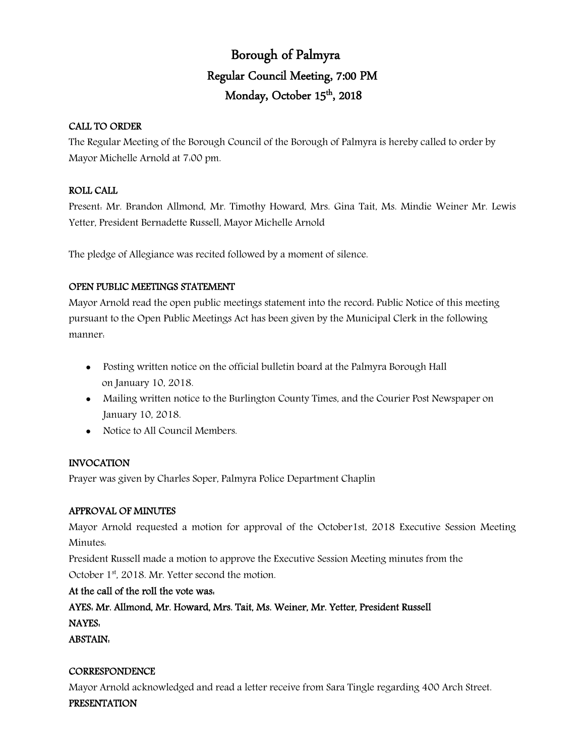# Borough of Palmyra Regular Council Meeting, 7:00 PM Monday, October 15<sup>th</sup>, 2018

# CALL TO ORDER

The Regular Meeting of the Borough Council of the Borough of Palmyra is hereby called to order by Mayor Michelle Arnold at 7:00 pm.

# ROLL CALL

Present: Mr. Brandon Allmond, Mr. Timothy Howard, Mrs. Gina Tait, Ms. Mindie Weiner Mr. Lewis Yetter, President Bernadette Russell, Mayor Michelle Arnold

The pledge of Allegiance was recited followed by a moment of silence.

# OPEN PUBLIC MEETINGS STATEMENT

Mayor Arnold read the open public meetings statement into the record: Public Notice of this meeting pursuant to the Open Public Meetings Act has been given by the Municipal Clerk in the following manner:

- Posting written notice on the official bulletin board at the Palmyra Borough Hall on January 10, 2018.
- Mailing written notice to the Burlington County Times, and the Courier Post Newspaper on January 10, 2018.
- Notice to All Council Members.

# INVOCATION

Prayer was given by Charles Soper, Palmyra Police Department Chaplin

#### APPROVAL OF MINUTES

Mayor Arnold requested a motion for approval of the October1st, 2018 Executive Session Meeting Minutes:

President Russell made a motion to approve the Executive Session Meeting minutes from the

October 1<sup>st</sup>, 2018. Mr. Yetter second the motion.

# At the call of the roll the vote was:

AYES: Mr. Allmond, Mr. Howard, Mrs. Tait, Ms. Weiner, Mr. Yetter, President Russell NAYES:

ABSTAIN:

#### **CORRESPONDENCE**

Mayor Arnold acknowledged and read a letter receive from Sara Tingle regarding 400 Arch Street.

#### PRESENTATION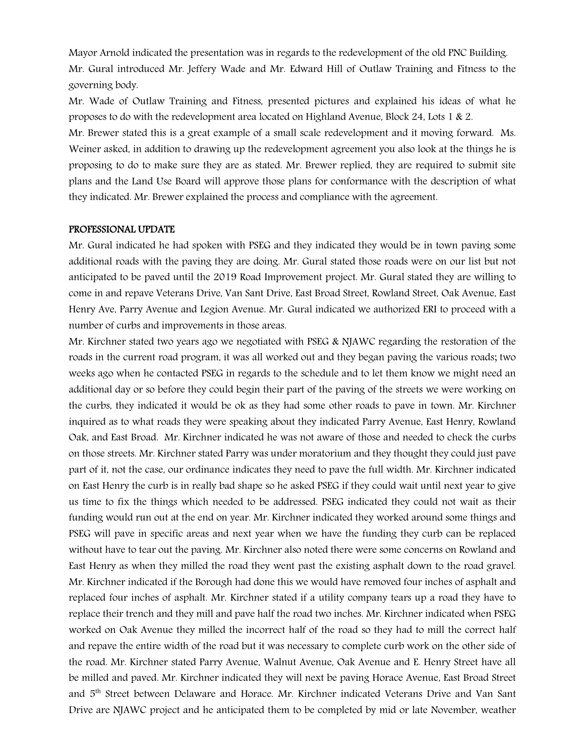Mayor Arnold indicated the presentation was in regards to the redevelopment of the old PNC Building. Mr. Gural introduced Mr. Jeffery Wade and Mr. Edward Hill of Outlaw Training and Fitness to the governing body.

Mr. Wade of Outlaw Training and Fitness, presented pictures and explained his ideas of what he proposes to do with the redevelopment area located on Highland Avenue, Block 24, Lots 1 & 2.

Mr. Brewer stated this is a great example of a small scale redevelopment and it moving forward. Ms. Weiner asked, in addition to drawing up the redevelopment agreement you also look at the things he is proposing to do to make sure they are as stated. Mr. Brewer replied, they are required to submit site plans and the Land Use Board will approve those plans for conformance with the description of what they indicated. Mr. Brewer explained the process and compliance with the agreement.

#### PROFESSIONAL UPDATE

Mr. Gural indicated he had spoken with PSEG and they indicated they would be in town paving some additional roads with the paving they are doing. Mr. Gural stated those roads were on our list but not anticipated to be paved until the 2019 Road Improvement project. Mr. Gural stated they are willing to come in and repave Veterans Drive, Van Sant Drive, East Broad Street, Rowland Street, Oak Avenue, East Henry Ave, Parry Avenue and Legion Avenue. Mr. Gural indicated we authorized ERI to proceed with a number of curbs and improvements in those areas.

Mr. Kirchner stated two years ago we negotiated with PSEG & NJAWC regarding the restoration of the roads in the current road program, it was all worked out and they began paving the various roads; two weeks ago when he contacted PSEG in regards to the schedule and to let them know we might need an additional day or so before they could begin their part of the paving of the streets we were working on the curbs, they indicated it would be ok as they had some other roads to pave in town. Mr. Kirchner inquired as to what roads they were speaking about they indicated Parry Avenue, East Henry, Rowland Oak, and East Broad. Mr. Kirchner indicated he was not aware of those and needed to check the curbs on those streets. Mr. Kirchner stated Parry was under moratorium and they thought they could just pave part of it, not the case, our ordinance indicates they need to pave the full width. Mr. Kirchner indicated on East Henry the curb is in really bad shape so he asked PSEG if they could wait until next year to give us time to fix the things which needed to be addressed. PSEG indicated they could not wait as their funding would run out at the end on year. Mr. Kirchner indicated they worked around some things and PSEG will pave in specific areas and next year when we have the funding they curb can be replaced without have to tear out the paving. Mr. Kirchner also noted there were some concerns on Rowland and East Henry as when they milled the road they went past the existing asphalt down to the road gravel. Mr. Kirchner indicated if the Borough had done this we would have removed four inches of asphalt and replaced four inches of asphalt. Mr. Kirchner stated if a utility company tears up a road they have to replace their trench and they mill and pave half the road two inches. Mr. Kirchner indicated when PSEG worked on Oak Avenue they milled the incorrect half of the road so they had to mill the correct half and repave the entire width of the road but it was necessary to complete curb work on the other side of the road. Mr. Kirchner stated Parry Avenue, Walnut Avenue, Oak Avenue and E. Henry Street have all be milled and paved. Mr. Kirchner indicated they will next be paving Horace Avenue, East Broad Street and 5th Street between Delaware and Horace. Mr. Kirchner indicated Veterans Drive and Van Sant Drive are NJAWC project and he anticipated them to be completed by mid or late November, weather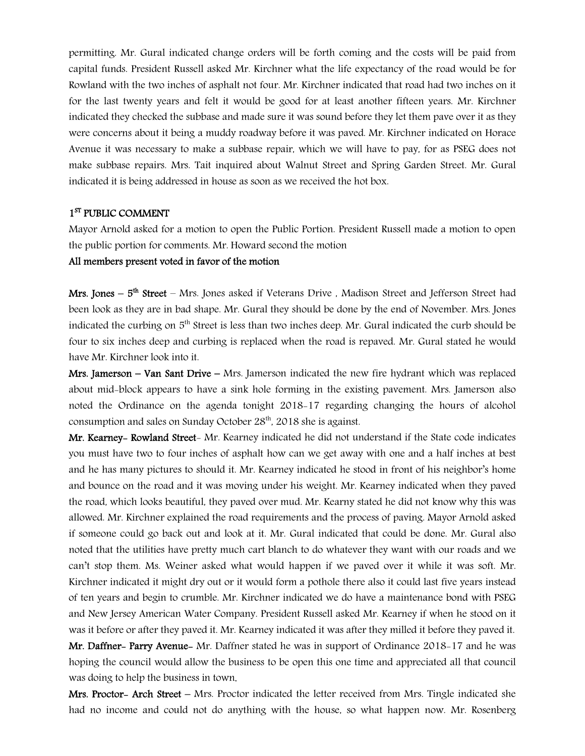permitting. Mr. Gural indicated change orders will be forth coming and the costs will be paid from capital funds. President Russell asked Mr. Kirchner what the life expectancy of the road would be for Rowland with the two inches of asphalt not four. Mr. Kirchner indicated that road had two inches on it for the last twenty years and felt it would be good for at least another fifteen years. Mr. Kirchner indicated they checked the subbase and made sure it was sound before they let them pave over it as they were concerns about it being a muddy roadway before it was paved. Mr. Kirchner indicated on Horace Avenue it was necessary to make a subbase repair, which we will have to pay, for as PSEG does not make subbase repairs. Mrs. Tait inquired about Walnut Street and Spring Garden Street. Mr. Gural indicated it is being addressed in house as soon as we received the hot box.

#### 1<sup>ST</sup> PUBLIC COMMENT

Mayor Arnold asked for a motion to open the Public Portion. President Russell made a motion to open the public portion for comments. Mr. Howard second the motion

#### All members present voted in favor of the motion

Mrs. Jones – 5<sup>th</sup> Street – Mrs. Jones asked if Veterans Drive , Madison Street and Jefferson Street had been look as they are in bad shape. Mr. Gural they should be done by the end of November. Mrs. Jones indicated the curbing on  $5<sup>th</sup>$  Street is less than two inches deep. Mr. Gural indicated the curb should be four to six inches deep and curbing is replaced when the road is repaved. Mr. Gural stated he would have Mr. Kirchner look into it.

Mrs. Jamerson – Van Sant Drive – Mrs. Jamerson indicated the new fire hydrant which was replaced about mid-block appears to have a sink hole forming in the existing pavement. Mrs. Jamerson also noted the Ordinance on the agenda tonight 2018-17 regarding changing the hours of alcohol consumption and sales on Sunday October 28<sup>th</sup>, 2018 she is against.

Mr. Kearney- Rowland Street- Mr. Kearney indicated he did not understand if the State code indicates you must have two to four inches of asphalt how can we get away with one and a half inches at best and he has many pictures to should it. Mr. Kearney indicated he stood in front of his neighbor's home and bounce on the road and it was moving under his weight. Mr. Kearney indicated when they paved the road, which looks beautiful, they paved over mud. Mr. Kearny stated he did not know why this was allowed. Mr. Kirchner explained the road requirements and the process of paving. Mayor Arnold asked if someone could go back out and look at it. Mr. Gural indicated that could be done. Mr. Gural also noted that the utilities have pretty much cart blanch to do whatever they want with our roads and we can't stop them. Ms. Weiner asked what would happen if we paved over it while it was soft. Mr. Kirchner indicated it might dry out or it would form a pothole there also it could last five years instead of ten years and begin to crumble. Mr. Kirchner indicated we do have a maintenance bond with PSEG and New Jersey American Water Company. President Russell asked Mr. Kearney if when he stood on it was it before or after they paved it. Mr. Kearney indicated it was after they milled it before they paved it. Mr. Daffner- Parry Avenue- Mr. Daffner stated he was in support of Ordinance 2018-17 and he was hoping the council would allow the business to be open this one time and appreciated all that council

was doing to help the business in town.

Mrs. Proctor- Arch Street – Mrs. Proctor indicated the letter received from Mrs. Tingle indicated she had no income and could not do anything with the house, so what happen now. Mr. Rosenberg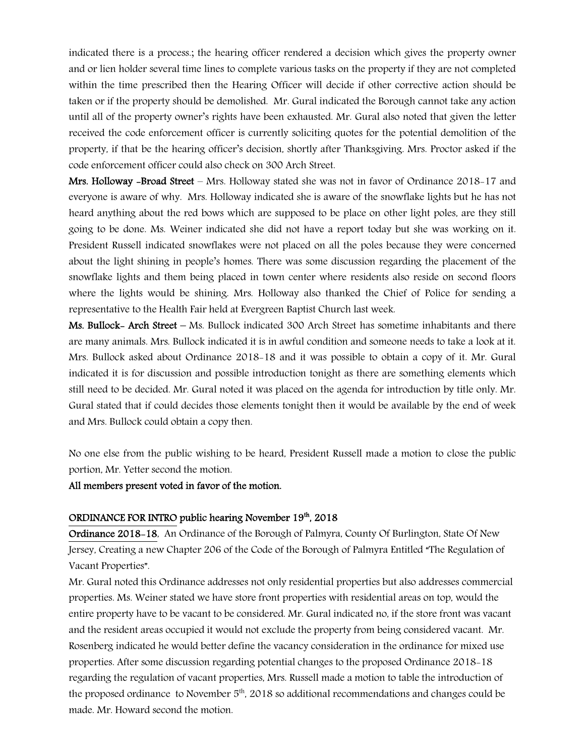indicated there is a process.; the hearing officer rendered a decision which gives the property owner and or lien holder several time lines to complete various tasks on the property if they are not completed within the time prescribed then the Hearing Officer will decide if other corrective action should be taken or if the property should be demolished. Mr. Gural indicated the Borough cannot take any action until all of the property owner's rights have been exhausted. Mr. Gural also noted that given the letter received the code enforcement officer is currently soliciting quotes for the potential demolition of the property, if that be the hearing officer's decision, shortly after Thanksgiving. Mrs. Proctor asked if the code enforcement officer could also check on 300 Arch Street.

Mrs. Holloway -Broad Street – Mrs. Holloway stated she was not in favor of Ordinance 2018-17 and everyone is aware of why. Mrs. Holloway indicated she is aware of the snowflake lights but he has not heard anything about the red bows which are supposed to be place on other light poles, are they still going to be done. Ms. Weiner indicated she did not have a report today but she was working on it. President Russell indicated snowflakes were not placed on all the poles because they were concerned about the light shining in people's homes. There was some discussion regarding the placement of the snowflake lights and them being placed in town center where residents also reside on second floors where the lights would be shining. Mrs. Holloway also thanked the Chief of Police for sending a representative to the Health Fair held at Evergreen Baptist Church last week.

Ms. Bullock- Arch Street – Ms. Bullock indicated 300 Arch Street has sometime inhabitants and there are many animals. Mrs. Bullock indicated it is in awful condition and someone needs to take a look at it. Mrs. Bullock asked about Ordinance 2018-18 and it was possible to obtain a copy of it. Mr. Gural indicated it is for discussion and possible introduction tonight as there are something elements which still need to be decided. Mr. Gural noted it was placed on the agenda for introduction by title only. Mr. Gural stated that if could decides those elements tonight then it would be available by the end of week and Mrs. Bullock could obtain a copy then.

No one else from the public wishing to be heard, President Russell made a motion to close the public portion, Mr. Yetter second the motion.

#### All members present voted in favor of the motion.

#### ORDINANCE FOR INTRO public hearing November 19<sup>th</sup>, 2018

Ordinance 2018-18, An Ordinance of the Borough of Palmyra, County Of Burlington, State Of New Jersey, Creating a new Chapter 206 of the Code of the Borough of Palmyra Entitled "The Regulation of Vacant Properties".

Mr. Gural noted this Ordinance addresses not only residential properties but also addresses commercial properties. Ms. Weiner stated we have store front properties with residential areas on top, would the entire property have to be vacant to be considered. Mr. Gural indicated no, if the store front was vacant and the resident areas occupied it would not exclude the property from being considered vacant. Mr. Rosenberg indicated he would better define the vacancy consideration in the ordinance for mixed use properties. After some discussion regarding potential changes to the proposed Ordinance 2018-18 regarding the regulation of vacant properties, Mrs. Russell made a motion to table the introduction of the proposed ordinance to November  $5<sup>th</sup>$ , 2018 so additional recommendations and changes could be made. Mr. Howard second the motion.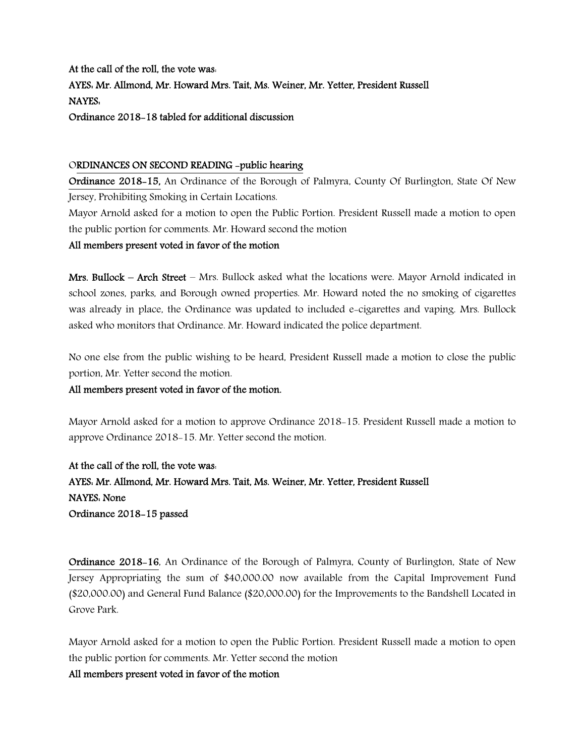At the call of the roll, the vote was: AYES: Mr. Allmond, Mr. Howard Mrs. Tait, Ms. Weiner, Mr. Yetter, President Russell NAYES: Ordinance 2018-18 tabled for additional discussion

#### ORDINANCES ON SECOND READING -public hearing

Ordinance 2018-15, An Ordinance of the Borough of Palmyra, County Of Burlington, State Of New Jersey, Prohibiting Smoking in Certain Locations.

Mayor Arnold asked for a motion to open the Public Portion. President Russell made a motion to open the public portion for comments. Mr. Howard second the motion

#### All members present voted in favor of the motion

Mrs. Bullock – Arch Street – Mrs. Bullock asked what the locations were. Mayor Arnold indicated in school zones, parks, and Borough owned properties. Mr. Howard noted the no smoking of cigarettes was already in place, the Ordinance was updated to included e-cigarettes and vaping. Mrs. Bullock asked who monitors that Ordinance. Mr. Howard indicated the police department.

No one else from the public wishing to be heard, President Russell made a motion to close the public portion, Mr. Yetter second the motion.

#### All members present voted in favor of the motion.

Mayor Arnold asked for a motion to approve Ordinance 2018-15. President Russell made a motion to approve Ordinance 2018-15. Mr. Yetter second the motion.

At the call of the roll, the vote was: AYES: Mr. Allmond, Mr. Howard Mrs. Tait, Ms. Weiner, Mr. Yetter, President Russell NAYES: None Ordinance 2018-15 passed

Ordinance 2018-16, An Ordinance of the Borough of Palmyra, County of Burlington, State of New Jersey Appropriating the sum of \$40,000.00 now available from the Capital Improvement Fund (\$20,000.00) and General Fund Balance (\$20,000.00) for the Improvements to the Bandshell Located in Grove Park.

Mayor Arnold asked for a motion to open the Public Portion. President Russell made a motion to open the public portion for comments. Mr. Yetter second the motion

#### All members present voted in favor of the motion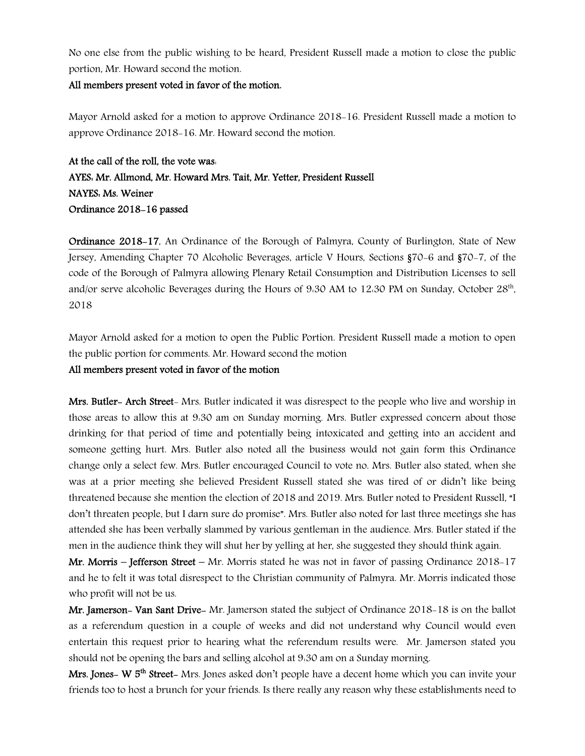No one else from the public wishing to be heard, President Russell made a motion to close the public portion, Mr. Howard second the motion.

#### All members present voted in favor of the motion.

Mayor Arnold asked for a motion to approve Ordinance 2018-16. President Russell made a motion to approve Ordinance 2018-16. Mr. Howard second the motion.

At the call of the roll, the vote was: AYES: Mr. Allmond, Mr. Howard Mrs. Tait, Mr. Yetter, President Russell NAYES: Ms. Weiner Ordinance 2018-16 passed

Ordinance 2018-17, An Ordinance of the Borough of Palmyra, County of Burlington, State of New Jersey, Amending Chapter 70 Alcoholic Beverages, article V Hours, Sections §70-6 and §70-7, of the code of the Borough of Palmyra allowing Plenary Retail Consumption and Distribution Licenses to sell and/or serve alcoholic Beverages during the Hours of 9.30 AM to 12.30 PM on Sunday, October 28<sup>th</sup>, 2018

Mayor Arnold asked for a motion to open the Public Portion. President Russell made a motion to open the public portion for comments. Mr. Howard second the motion

### All members present voted in favor of the motion

Mrs. Butler- Arch Street- Mrs. Butler indicated it was disrespect to the people who live and worship in those areas to allow this at 9:30 am on Sunday morning. Mrs. Butler expressed concern about those drinking for that period of time and potentially being intoxicated and getting into an accident and someone getting hurt. Mrs. Butler also noted all the business would not gain form this Ordinance change only a select few. Mrs. Butler encouraged Council to vote no. Mrs. Butler also stated, when she was at a prior meeting she believed President Russell stated she was tired of or didn't like being threatened because she mention the election of 2018 and 2019. Mrs. Butler noted to President Russell, "I don't threaten people, but I darn sure do promise". Mrs. Butler also noted for last three meetings she has attended she has been verbally slammed by various gentleman in the audience. Mrs. Butler stated if the men in the audience think they will shut her by yelling at her, she suggested they should think again.

**Mr. Morris – Jefferson Street –** Mr. Morris stated he was not in favor of passing Ordinance 2018-17 and he to felt it was total disrespect to the Christian community of Palmyra. Mr. Morris indicated those who profit will not be us.

Mr. Jamerson- Van Sant Drive- Mr. Jamerson stated the subject of Ordinance 2018-18 is on the ballot as a referendum question in a couple of weeks and did not understand why Council would even entertain this request prior to hearing what the referendum results were. Mr. Jamerson stated you should not be opening the bars and selling alcohol at 9:30 am on a Sunday morning.

Mrs. Jones- W 5<sup>th</sup> Street-Mrs. Jones asked don't people have a decent home which you can invite your friends too to host a brunch for your friends. Is there really any reason why these establishments need to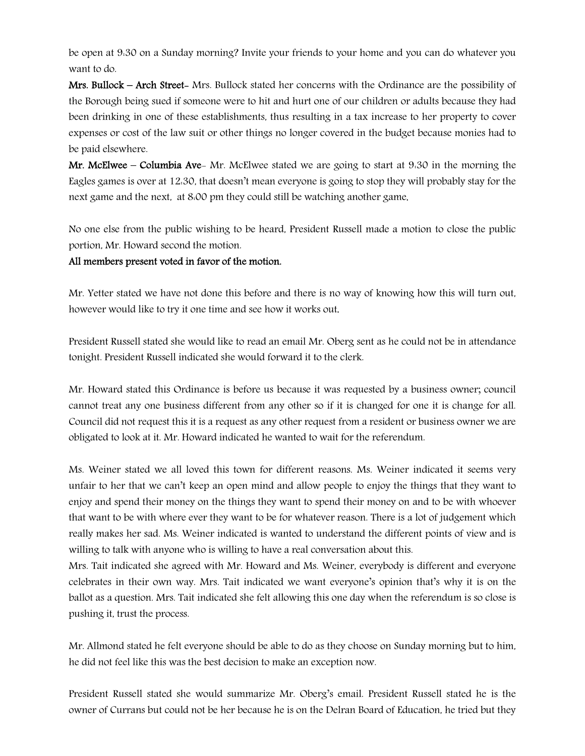be open at 9:30 on a Sunday morning? Invite your friends to your home and you can do whatever you want to do.

Mrs. Bullock – Arch Street- Mrs. Bullock stated her concerns with the Ordinance are the possibility of the Borough being sued if someone were to hit and hurt one of our children or adults because they had been drinking in one of these establishments, thus resulting in a tax increase to her property to cover expenses or cost of the law suit or other things no longer covered in the budget because monies had to be paid elsewhere.

**Mr. McElwee – Columbia Ave-** Mr. McElwee stated we are going to start at 9.30 in the morning the Eagles games is over at 12:30, that doesn't mean everyone is going to stop they will probably stay for the next game and the next, at 8:00 pm they could still be watching another game.

No one else from the public wishing to be heard, President Russell made a motion to close the public portion, Mr. Howard second the motion.

#### All members present voted in favor of the motion.

Mr. Yetter stated we have not done this before and there is no way of knowing how this will turn out, however would like to try it one time and see how it works out.

President Russell stated she would like to read an email Mr. Oberg sent as he could not be in attendance tonight. President Russell indicated she would forward it to the clerk.

Mr. Howard stated this Ordinance is before us because it was requested by a business owner; council cannot treat any one business different from any other so if it is changed for one it is change for all. Council did not request this it is a request as any other request from a resident or business owner we are obligated to look at it. Mr. Howard indicated he wanted to wait for the referendum.

Ms. Weiner stated we all loved this town for different reasons. Ms. Weiner indicated it seems very unfair to her that we can't keep an open mind and allow people to enjoy the things that they want to enjoy and spend their money on the things they want to spend their money on and to be with whoever that want to be with where ever they want to be for whatever reason. There is a lot of judgement which really makes her sad. Ms. Weiner indicated is wanted to understand the different points of view and is willing to talk with anyone who is willing to have a real conversation about this.

Mrs. Tait indicated she agreed with Mr. Howard and Ms. Weiner, everybody is different and everyone celebrates in their own way. Mrs. Tait indicated we want everyone's opinion that's why it is on the ballot as a question. Mrs. Tait indicated she felt allowing this one day when the referendum is so close is pushing it, trust the process.

Mr. Allmond stated he felt everyone should be able to do as they choose on Sunday morning but to him, he did not feel like this was the best decision to make an exception now.

President Russell stated she would summarize Mr. Oberg's email. President Russell stated he is the owner of Currans but could not be her because he is on the Delran Board of Education, he tried but they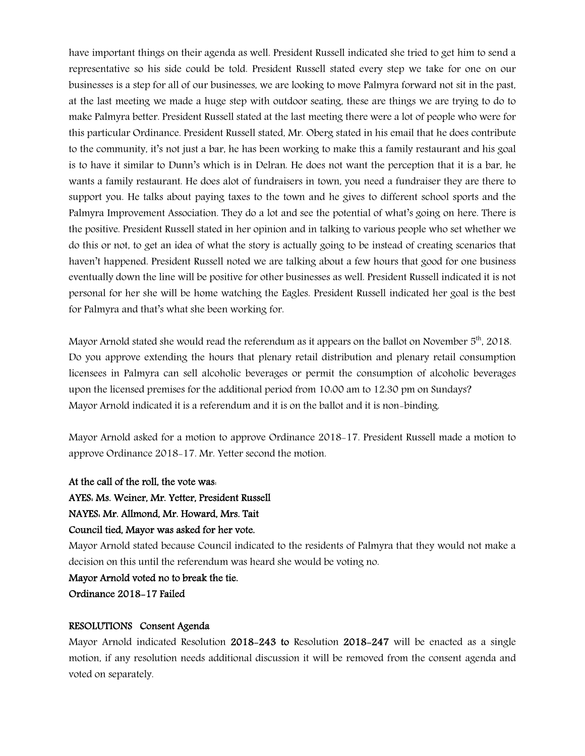have important things on their agenda as well. President Russell indicated she tried to get him to send a representative so his side could be told. President Russell stated every step we take for one on our businesses is a step for all of our businesses, we are looking to move Palmyra forward not sit in the past, at the last meeting we made a huge step with outdoor seating, these are things we are trying to do to make Palmyra better. President Russell stated at the last meeting there were a lot of people who were for this particular Ordinance. President Russell stated, Mr. Oberg stated in his email that he does contribute to the community, it's not just a bar, he has been working to make this a family restaurant and his goal is to have it similar to Dunn's which is in Delran. He does not want the perception that it is a bar, he wants a family restaurant. He does alot of fundraisers in town, you need a fundraiser they are there to support you. He talks about paying taxes to the town and he gives to different school sports and the Palmyra Improvement Association. They do a lot and see the potential of what's going on here. There is the positive. President Russell stated in her opinion and in talking to various people who set whether we do this or not, to get an idea of what the story is actually going to be instead of creating scenarios that haven't happened. President Russell noted we are talking about a few hours that good for one business eventually down the line will be positive for other businesses as well. President Russell indicated it is not personal for her she will be home watching the Eagles. President Russell indicated her goal is the best for Palmyra and that's what she been working for.

Mayor Arnold stated she would read the referendum as it appears on the ballot on November 5<sup>th</sup>, 2018. Do you approve extending the hours that plenary retail distribution and plenary retail consumption licensees in Palmyra can sell alcoholic beverages or permit the consumption of alcoholic beverages upon the licensed premises for the additional period from 10:00 am to 12:30 pm on Sundays? Mayor Arnold indicated it is a referendum and it is on the ballot and it is non-binding.

Mayor Arnold asked for a motion to approve Ordinance 2018-17. President Russell made a motion to approve Ordinance 2018-17. Mr. Yetter second the motion.

At the call of the roll, the vote was:

AYES: Ms. Weiner, Mr. Yetter, President Russell

NAYES: Mr. Allmond, Mr. Howard, Mrs. Tait

#### Council tied, Mayor was asked for her vote.

Mayor Arnold stated because Council indicated to the residents of Palmyra that they would not make a decision on this until the referendum was heard she would be voting no.

Mayor Arnold voted no to break the tie.

Ordinance 2018-17 Failed

#### RESOLUTIONS Consent Agenda

Mayor Arnold indicated Resolution 2018-243 to Resolution 2018-247 will be enacted as a single motion, if any resolution needs additional discussion it will be removed from the consent agenda and voted on separately.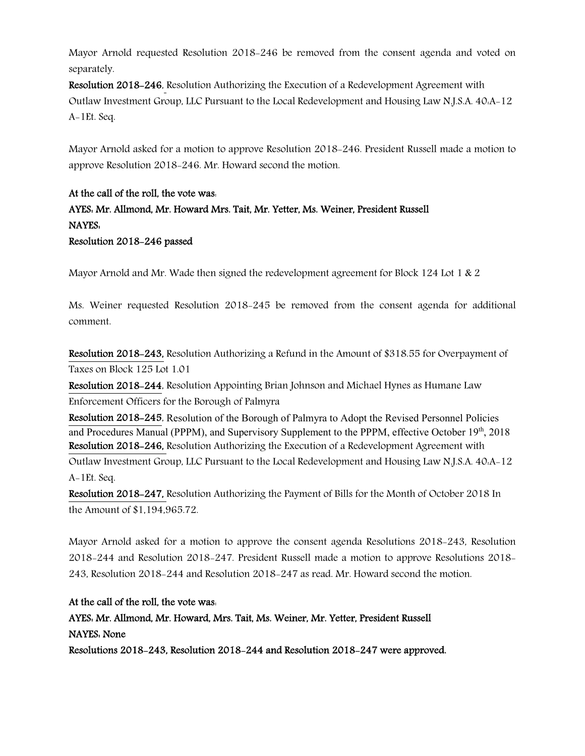Mayor Arnold requested Resolution 2018-246 be removed from the consent agenda and voted on separately.

Resolution 2018-246, Resolution Authorizing the Execution of a Redevelopment Agreement with Outlaw Investment Group, LLC Pursuant to the Local Redevelopment and Housing Law N.J.S.A. 40:A-12 A-1Et. Seq.

Mayor Arnold asked for a motion to approve Resolution 2018-246. President Russell made a motion to approve Resolution 2018-246. Mr. Howard second the motion.

# At the call of the roll, the vote was: AYES: Mr. Allmond, Mr. Howard Mrs. Tait, Mr. Yetter, Ms. Weiner, President Russell NAYES: Resolution 2018-246 passed

Mayor Arnold and Mr. Wade then signed the redevelopment agreement for Block 124 Lot 1 & 2

Ms. Weiner requested Resolution 2018-245 be removed from the consent agenda for additional comment.

Resolution 2018-243, Resolution Authorizing a Refund in the Amount of \$318.55 for Overpayment of Taxes on Block 125 Lot 1.01

Resolution 2018-244, Resolution Appointing Brian Johnson and Michael Hynes as Humane Law Enforcement Officers for the Borough of Palmyra

Resolution 2018-245, Resolution of the Borough of Palmyra to Adopt the Revised Personnel Policies and Procedures Manual (PPPM), and Supervisory Supplement to the PPPM, effective October 19th, 2018 Resolution 2018-246, Resolution Authorizing the Execution of a Redevelopment Agreement with Outlaw Investment Group, LLC Pursuant to the Local Redevelopment and Housing Law N.J.S.A. 40:A-12 A-1Et. Seq.

Resolution 2018-247, Resolution Authorizing the Payment of Bills for the Month of October 2018 In the Amount of \$1,194,965.72.

Mayor Arnold asked for a motion to approve the consent agenda Resolutions 2018-243, Resolution 2018-244 and Resolution 2018-247. President Russell made a motion to approve Resolutions 2018- 243, Resolution 2018-244 and Resolution 2018-247 as read. Mr. Howard second the motion.

# At the call of the roll, the vote was:

AYES: Mr. Allmond, Mr. Howard, Mrs. Tait, Ms. Weiner, Mr. Yetter, President Russell NAYES: None Resolutions 2018-243, Resolution 2018-244 and Resolution 2018-247 were approved.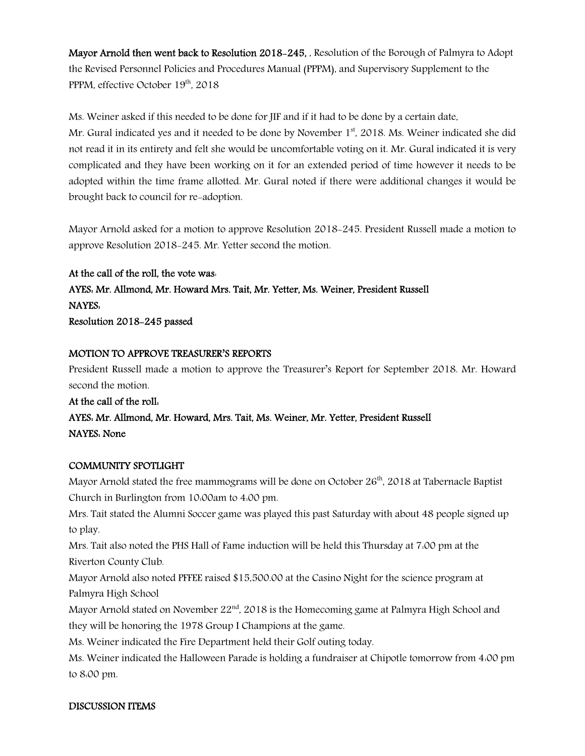Mayor Arnold then went back to Resolution 2018-245, , Resolution of the Borough of Palmyra to Adopt the Revised Personnel Policies and Procedures Manual (PPPM), and Supervisory Supplement to the PPPM, effective October 19<sup>th</sup>, 2018

Ms. Weiner asked if this needed to be done for JIF and if it had to be done by a certain date. Mr. Gural indicated yes and it needed to be done by November  $1<sup>st</sup>$ , 2018. Ms. Weiner indicated she did not read it in its entirety and felt she would be uncomfortable voting on it. Mr. Gural indicated it is very complicated and they have been working on it for an extended period of time however it needs to be adopted within the time frame allotted. Mr. Gural noted if there were additional changes it would be brought back to council for re-adoption.

Mayor Arnold asked for a motion to approve Resolution 2018-245. President Russell made a motion to approve Resolution 2018-245. Mr. Yetter second the motion.

At the call of the roll, the vote was: AYES: Mr. Allmond, Mr. Howard Mrs. Tait, Mr. Yetter, Ms. Weiner, President Russell NAYES: Resolution 2018-245 passed

## MOTION TO APPROVE TREASURER'S REPORTS

President Russell made a motion to approve the Treasurer's Report for September 2018. Mr. Howard second the motion.

At the call of the roll: AYES: Mr. Allmond, Mr. Howard, Mrs. Tait, Ms. Weiner, Mr. Yetter, President Russell NAYES: None

#### COMMUNITY SPOTLIGHT

Mayor Arnold stated the free mammograms will be done on October 26<sup>th</sup>, 2018 at Tabernacle Baptist Church in Burlington from 10:00am to 4:00 pm.

Mrs. Tait stated the Alumni Soccer game was played this past Saturday with about 48 people signed up to play.

Mrs. Tait also noted the PHS Hall of Fame induction will be held this Thursday at 7:00 pm at the Riverton County Club.

Mayor Arnold also noted PFFEE raised \$15,500.00 at the Casino Night for the science program at Palmyra High School

Mayor Arnold stated on November  $22<sup>nd</sup>$ , 2018 is the Homecoming game at Palmyra High School and they will be honoring the 1978 Group I Champions at the game.

Ms. Weiner indicated the Fire Department held their Golf outing today.

Ms. Weiner indicated the Halloween Parade is holding a fundraiser at Chipotle tomorrow from 4:00 pm to 8:00 pm.

#### DISCUSSION ITEMS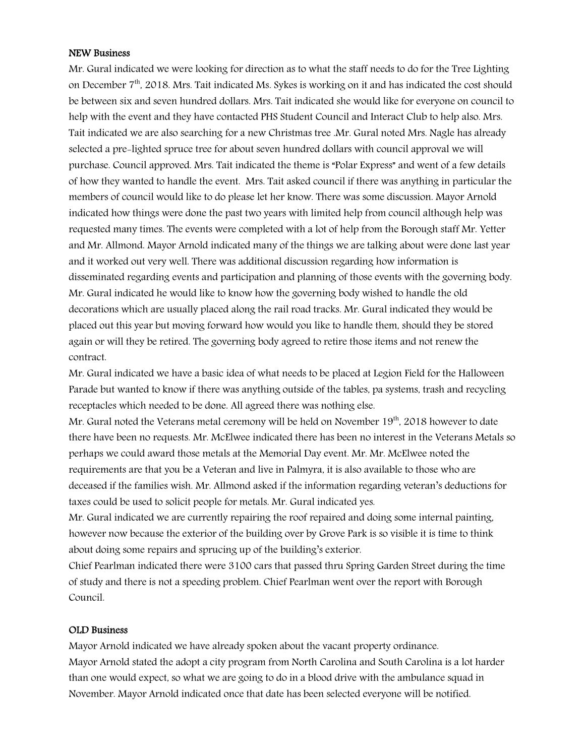#### NEW Business

Mr. Gural indicated we were looking for direction as to what the staff needs to do for the Tree Lighting on December 7<sup>th</sup>, 2018. Mrs. Tait indicated Ms. Sykes is working on it and has indicated the cost should be between six and seven hundred dollars. Mrs. Tait indicated she would like for everyone on council to help with the event and they have contacted PHS Student Council and Interact Club to help also. Mrs. Tait indicated we are also searching for a new Christmas tree .Mr. Gural noted Mrs. Nagle has already selected a pre-lighted spruce tree for about seven hundred dollars with council approval we will purchase. Council approved. Mrs. Tait indicated the theme is "Polar Express" and went of a few details of how they wanted to handle the event. Mrs. Tait asked council if there was anything in particular the members of council would like to do please let her know. There was some discussion. Mayor Arnold indicated how things were done the past two years with limited help from council although help was requested many times. The events were completed with a lot of help from the Borough staff Mr. Yetter and Mr. Allmond. Mayor Arnold indicated many of the things we are talking about were done last year and it worked out very well. There was additional discussion regarding how information is disseminated regarding events and participation and planning of those events with the governing body. Mr. Gural indicated he would like to know how the governing body wished to handle the old decorations which are usually placed along the rail road tracks. Mr. Gural indicated they would be placed out this year but moving forward how would you like to handle them, should they be stored again or will they be retired. The governing body agreed to retire those items and not renew the contract.

Mr. Gural indicated we have a basic idea of what needs to be placed at Legion Field for the Halloween Parade but wanted to know if there was anything outside of the tables, pa systems, trash and recycling receptacles which needed to be done. All agreed there was nothing else.

Mr. Gural noted the Veterans metal ceremony will be held on November 19<sup>th</sup>, 2018 however to date there have been no requests. Mr. McElwee indicated there has been no interest in the Veterans Metals so perhaps we could award those metals at the Memorial Day event. Mr. Mr. McElwee noted the requirements are that you be a Veteran and live in Palmyra, it is also available to those who are deceased if the families wish. Mr. Allmond asked if the information regarding veteran's deductions for taxes could be used to solicit people for metals. Mr. Gural indicated yes.

Mr. Gural indicated we are currently repairing the roof repaired and doing some internal painting, however now because the exterior of the building over by Grove Park is so visible it is time to think about doing some repairs and sprucing up of the building's exterior.

Chief Pearlman indicated there were 3100 cars that passed thru Spring Garden Street during the time of study and there is not a speeding problem. Chief Pearlman went over the report with Borough Council.

#### OLD Business

Mayor Arnold indicated we have already spoken about the vacant property ordinance. Mayor Arnold stated the adopt a city program from North Carolina and South Carolina is a lot harder than one would expect, so what we are going to do in a blood drive with the ambulance squad in November. Mayor Arnold indicated once that date has been selected everyone will be notified.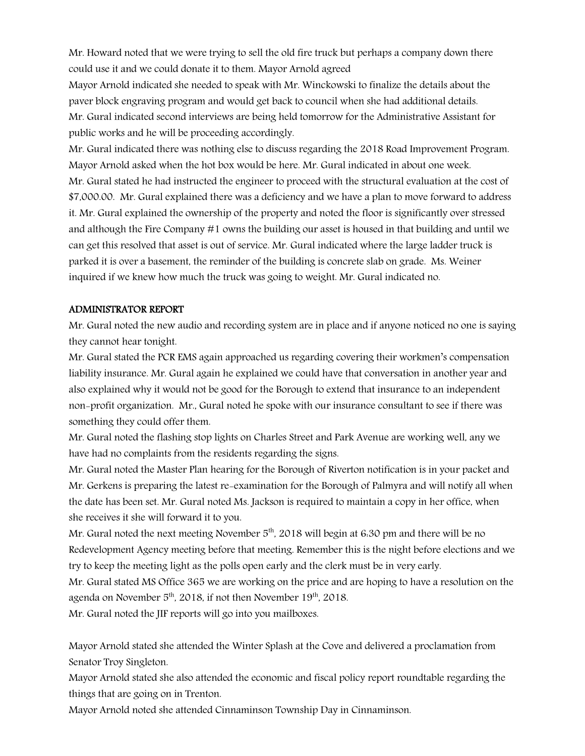Mr. Howard noted that we were trying to sell the old fire truck but perhaps a company down there could use it and we could donate it to them. Mayor Arnold agreed

Mayor Arnold indicated she needed to speak with Mr. Winckowski to finalize the details about the paver block engraving program and would get back to council when she had additional details. Mr. Gural indicated second interviews are being held tomorrow for the Administrative Assistant for public works and he will be proceeding accordingly.

Mr. Gural indicated there was nothing else to discuss regarding the 2018 Road Improvement Program. Mayor Arnold asked when the hot box would be here. Mr. Gural indicated in about one week. Mr. Gural stated he had instructed the engineer to proceed with the structural evaluation at the cost of \$7,000.00. Mr. Gural explained there was a deficiency and we have a plan to move forward to address it. Mr. Gural explained the ownership of the property and noted the floor is significantly over stressed and although the Fire Company #1 owns the building our asset is housed in that building and until we can get this resolved that asset is out of service. Mr. Gural indicated where the large ladder truck is parked it is over a basement, the reminder of the building is concrete slab on grade. Ms. Weiner inquired if we knew how much the truck was going to weight. Mr. Gural indicated no.

## ADMINISTRATOR REPORT

Mr. Gural noted the new audio and recording system are in place and if anyone noticed no one is saying they cannot hear tonight.

Mr. Gural stated the PCR EMS again approached us regarding covering their workmen's compensation liability insurance. Mr. Gural again he explained we could have that conversation in another year and also explained why it would not be good for the Borough to extend that insurance to an independent non-profit organization. Mr., Gural noted he spoke with our insurance consultant to see if there was something they could offer them.

Mr. Gural noted the flashing stop lights on Charles Street and Park Avenue are working well, any we have had no complaints from the residents regarding the signs.

Mr. Gural noted the Master Plan hearing for the Borough of Riverton notification is in your packet and Mr. Gerkens is preparing the latest re-examination for the Borough of Palmyra and will notify all when the date has been set. Mr. Gural noted Ms. Jackson is required to maintain a copy in her office, when she receives it she will forward it to you.

Mr. Gural noted the next meeting November  $5<sup>th</sup>$ , 2018 will begin at 6:30 pm and there will be no Redevelopment Agency meeting before that meeting. Remember this is the night before elections and we try to keep the meeting light as the polls open early and the clerk must be in very early.

Mr. Gural stated MS Office 365 we are working on the price and are hoping to have a resolution on the agenda on November  $5<sup>th</sup>$ , 2018, if not then November 19<sup>th</sup>, 2018.

Mr. Gural noted the JIF reports will go into you mailboxes.

Mayor Arnold stated she attended the Winter Splash at the Cove and delivered a proclamation from Senator Troy Singleton.

Mayor Arnold stated she also attended the economic and fiscal policy report roundtable regarding the things that are going on in Trenton.

Mayor Arnold noted she attended Cinnaminson Township Day in Cinnaminson.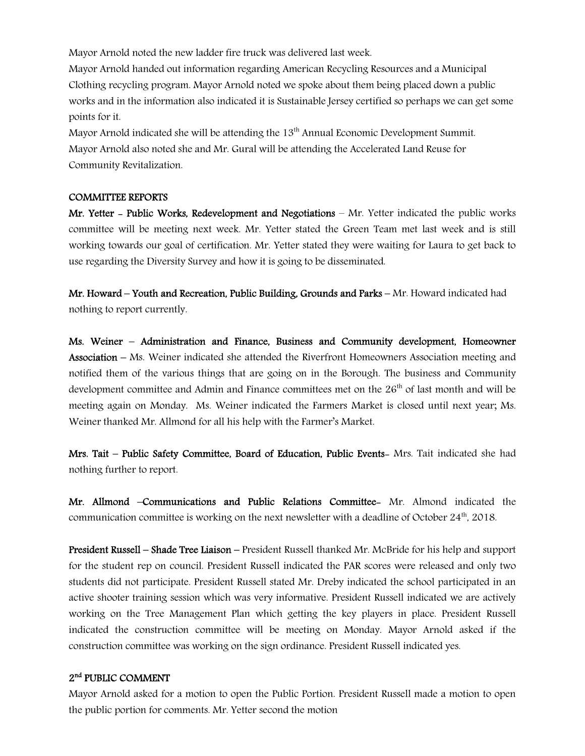Mayor Arnold noted the new ladder fire truck was delivered last week.

Mayor Arnold handed out information regarding American Recycling Resources and a Municipal Clothing recycling program. Mayor Arnold noted we spoke about them being placed down a public works and in the information also indicated it is Sustainable Jersey certified so perhaps we can get some points for it.

Mayor Arnold indicated she will be attending the 13<sup>th</sup> Annual Economic Development Summit. Mayor Arnold also noted she and Mr. Gural will be attending the Accelerated Land Reuse for Community Revitalization.

#### COMMITTEE REPORTS

Mr. Yetter - Public Works, Redevelopment and Negotiations – Mr. Yetter indicated the public works committee will be meeting next week. Mr. Yetter stated the Green Team met last week and is still working towards our goal of certification. Mr. Yetter stated they were waiting for Laura to get back to use regarding the Diversity Survey and how it is going to be disseminated.

Mr. Howard – Youth and Recreation, Public Building, Grounds and Parks – Mr. Howard indicated had nothing to report currently.

Ms. Weiner – Administration and Finance, Business and Community development, Homeowner Association – Ms. Weiner indicated she attended the Riverfront Homeowners Association meeting and notified them of the various things that are going on in the Borough. The business and Community development committee and Admin and Finance committees met on the  $26<sup>th</sup>$  of last month and will be meeting again on Monday. Ms. Weiner indicated the Farmers Market is closed until next year; Ms. Weiner thanked Mr. Allmond for all his help with the Farmer's Market.

Mrs. Tait – Public Safety Committee, Board of Education, Public Events- Mrs. Tait indicated she had nothing further to report.

Mr. Allmond –Communications and Public Relations Committee- Mr. Almond indicated the communication committee is working on the next newsletter with a deadline of October  $24<sup>th</sup>$ , 2018.

President Russell – Shade Tree Liaison – President Russell thanked Mr. McBride for his help and support for the student rep on council. President Russell indicated the PAR scores were released and only two students did not participate. President Russell stated Mr. Dreby indicated the school participated in an active shooter training session which was very informative. President Russell indicated we are actively working on the Tree Management Plan which getting the key players in place. President Russell indicated the construction committee will be meeting on Monday. Mayor Arnold asked if the construction committee was working on the sign ordinance. President Russell indicated yes.

### 2<sup>nd</sup> PUBLIC COMMENT

Mayor Arnold asked for a motion to open the Public Portion. President Russell made a motion to open the public portion for comments. Mr. Yetter second the motion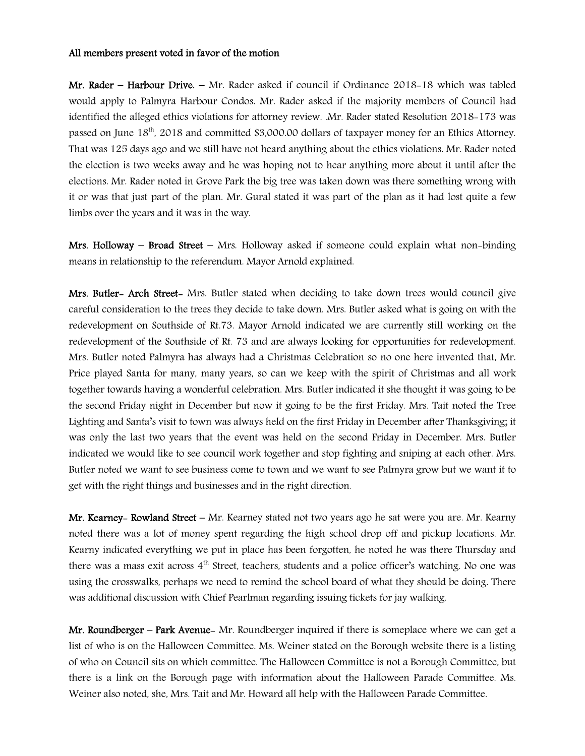#### All members present voted in favor of the motion

Mr. Rader – Harbour Drive. – Mr. Rader asked if council if Ordinance 2018-18 which was tabled would apply to Palmyra Harbour Condos. Mr. Rader asked if the majority members of Council had identified the alleged ethics violations for attorney review. .Mr. Rader stated Resolution 2018-173 was passed on June 18th, 2018 and committed \$3,000.00 dollars of taxpayer money for an Ethics Attorney. That was 125 days ago and we still have not heard anything about the ethics violations. Mr. Rader noted the election is two weeks away and he was hoping not to hear anything more about it until after the elections. Mr. Rader noted in Grove Park the big tree was taken down was there something wrong with it or was that just part of the plan. Mr. Gural stated it was part of the plan as it had lost quite a few limbs over the years and it was in the way.

**Mrs. Holloway – Broad Street –** Mrs. Holloway asked if someone could explain what non-binding means in relationship to the referendum. Mayor Arnold explained.

Mrs. Butler- Arch Street- Mrs. Butler stated when deciding to take down trees would council give careful consideration to the trees they decide to take down. Mrs. Butler asked what is going on with the redevelopment on Southside of Rt.73. Mayor Arnold indicated we are currently still working on the redevelopment of the Southside of Rt. 73 and are always looking for opportunities for redevelopment. Mrs. Butler noted Palmyra has always had a Christmas Celebration so no one here invented that, Mr. Price played Santa for many, many years, so can we keep with the spirit of Christmas and all work together towards having a wonderful celebration. Mrs. Butler indicated it she thought it was going to be the second Friday night in December but now it going to be the first Friday. Mrs. Tait noted the Tree Lighting and Santa's visit to town was always held on the first Friday in December after Thanksgiving; it was only the last two years that the event was held on the second Friday in December. Mrs. Butler indicated we would like to see council work together and stop fighting and sniping at each other. Mrs. Butler noted we want to see business come to town and we want to see Palmyra grow but we want it to get with the right things and businesses and in the right direction.

**Mr. Kearney– Rowland Street –** Mr. Kearney stated not two years ago he sat were you are. Mr. Kearny noted there was a lot of money spent regarding the high school drop off and pickup locations. Mr. Kearny indicated everything we put in place has been forgotten, he noted he was there Thursday and there was a mass exit across  $4<sup>th</sup>$  Street, teachers, students and a police officer's watching. No one was using the crosswalks, perhaps we need to remind the school board of what they should be doing. There was additional discussion with Chief Pearlman regarding issuing tickets for jay walking.

Mr. Roundberger – Park Avenue- Mr. Roundberger inquired if there is someplace where we can get a list of who is on the Halloween Committee. Ms. Weiner stated on the Borough website there is a listing of who on Council sits on which committee. The Halloween Committee is not a Borough Committee, but there is a link on the Borough page with information about the Halloween Parade Committee. Ms. Weiner also noted, she, Mrs. Tait and Mr. Howard all help with the Halloween Parade Committee.